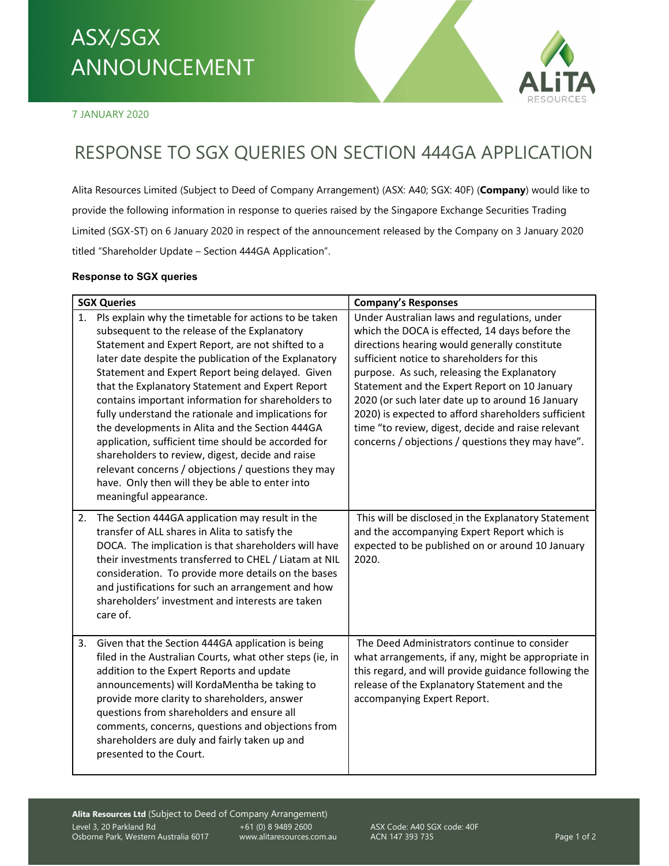## RESPONSE TO SGX QUERIES ON SECTION 444GA APPLICATION ASX/SGX ANNOUNCEMENT



7 JANUARY 2020

## RESPONSE TO SGX QUERIES ON SECTION 444GA APPLICATION

Alita Resources Limited (Subject to Deed of Company Arrangement) (ASX: A40; SGX: 40F) (Company) would like to provide the following information in response to queries raised by the Singapore Exchange Securities Trading Limited (SGX-ST) on 6 January 2020 in respect of the announcement released by the Company on 3 January 2020 titled "Shareholder Update – Section 444GA Application".

## Response to SGX queries

| <b>SGX Queries</b>                                                                                                                                                                                                                                                                                                                                                                                                                                                                                                                                                                                                                                                                                                                            | <b>Company's Responses</b>                                                                                                                                                                                                                                                                                                                                                                                                                                                                                          |
|-----------------------------------------------------------------------------------------------------------------------------------------------------------------------------------------------------------------------------------------------------------------------------------------------------------------------------------------------------------------------------------------------------------------------------------------------------------------------------------------------------------------------------------------------------------------------------------------------------------------------------------------------------------------------------------------------------------------------------------------------|---------------------------------------------------------------------------------------------------------------------------------------------------------------------------------------------------------------------------------------------------------------------------------------------------------------------------------------------------------------------------------------------------------------------------------------------------------------------------------------------------------------------|
| 1. Pls explain why the timetable for actions to be taken<br>subsequent to the release of the Explanatory<br>Statement and Expert Report, are not shifted to a<br>later date despite the publication of the Explanatory<br>Statement and Expert Report being delayed. Given<br>that the Explanatory Statement and Expert Report<br>contains important information for shareholders to<br>fully understand the rationale and implications for<br>the developments in Alita and the Section 444GA<br>application, sufficient time should be accorded for<br>shareholders to review, digest, decide and raise<br>relevant concerns / objections / questions they may<br>have. Only then will they be able to enter into<br>meaningful appearance. | Under Australian laws and regulations, under<br>which the DOCA is effected, 14 days before the<br>directions hearing would generally constitute<br>sufficient notice to shareholders for this<br>purpose. As such, releasing the Explanatory<br>Statement and the Expert Report on 10 January<br>2020 (or such later date up to around 16 January<br>2020) is expected to afford shareholders sufficient<br>time "to review, digest, decide and raise relevant<br>concerns / objections / questions they may have". |
| The Section 444GA application may result in the<br>2.<br>transfer of ALL shares in Alita to satisfy the<br>DOCA. The implication is that shareholders will have<br>their investments transferred to CHEL / Liatam at NIL<br>consideration. To provide more details on the bases<br>and justifications for such an arrangement and how<br>shareholders' investment and interests are taken<br>care of.                                                                                                                                                                                                                                                                                                                                         | This will be disclosed in the Explanatory Statement<br>and the accompanying Expert Report which is<br>expected to be published on or around 10 January<br>2020.                                                                                                                                                                                                                                                                                                                                                     |
| Given that the Section 444GA application is being<br>3.<br>filed in the Australian Courts, what other steps (ie, in<br>addition to the Expert Reports and update<br>announcements) will KordaMentha be taking to<br>provide more clarity to shareholders, answer<br>questions from shareholders and ensure all<br>comments, concerns, questions and objections from<br>shareholders are duly and fairly taken up and<br>presented to the Court.                                                                                                                                                                                                                                                                                               | The Deed Administrators continue to consider<br>what arrangements, if any, might be appropriate in<br>this regard, and will provide guidance following the<br>release of the Explanatory Statement and the<br>accompanying Expert Report.                                                                                                                                                                                                                                                                           |

+61 (0) 8 9489 2600 ASX Code: A40 SGX code: 40F ACN 147 393 735 Page 1 of 2